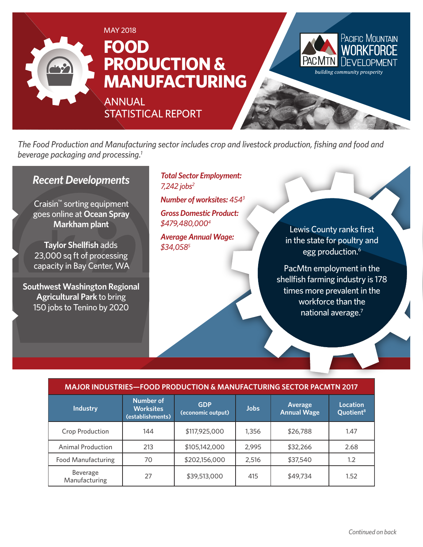

*The Food Production and Manufacturing sector includes crop and livestock production, fishing and food and beverage packaging and processing.1*

#### *Recent Developments*

Craisin™ sorting equipment goes online at **Ocean Spray Markham plant**

**Taylor Shellfish** adds 23,000 sq ft of processing capacity in Bay Center, WA

**Southwest Washington Regional Agricultural Park** to bring 150 jobs to Tenino by 2020

*Total Sector Employment: 7,242 jobs2*

*Number of worksites: 4543*

*Gross Domestic Product: \$479,480,0004*

*Average Annual Wage: \$34,0585*

Lewis County ranks first in the state for poultry and egg production.<sup>6</sup>

PacMtn employment in the shellfish farming industry is 178 times more prevalent in the workforce than the national average.<sup>7</sup>

#### **MAJOR INDUSTRIES—FOOD PRODUCTION & MANUFACTURING SECTOR PACMTN 2017**

| <b>Industry</b>           | <b>Number of</b><br><b>Worksites</b><br>(establishments) | <b>GDP</b><br>(economic output) | <b>Jobs</b> | <b>Average</b><br><b>Annual Wage</b> | <b>Location</b><br>Quotient <sup>8</sup> |
|---------------------------|----------------------------------------------------------|---------------------------------|-------------|--------------------------------------|------------------------------------------|
| <b>Crop Production</b>    | 144                                                      | \$117,925,000                   | 1,356       | \$26,788                             | 1.47                                     |
| <b>Animal Production</b>  | 213                                                      | \$105,142,000                   | 2,995       | \$32,266                             | 2.68                                     |
| <b>Food Manufacturing</b> | 70                                                       | \$202,156,000                   | 2,516       | \$37,540                             | 1.2                                      |
| Beverage<br>Manufacturing | 27                                                       | \$39,513,000                    | 415         | \$49,734                             | 1.52                                     |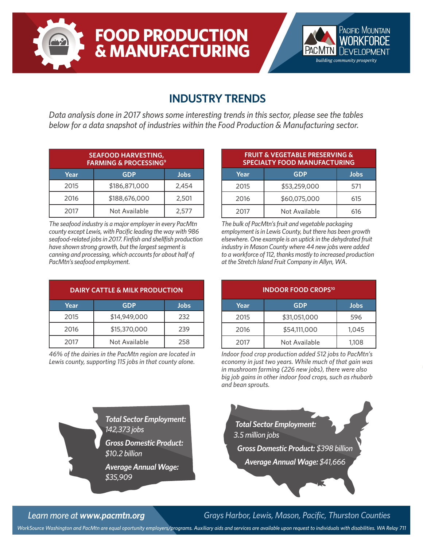



### **INDUSTRY TRENDS**

*Data analysis done in 2017 shows some interesting trends in this sector, please see the tables below for a data snapshot of industries within the Food Production & Manufacturing sector.*

| <b>SEAFOOD HARVESTING,</b><br><b>FARMING &amp; PROCESSING<sup>9</sup></b> |               |       |  |  |
|---------------------------------------------------------------------------|---------------|-------|--|--|
| Year                                                                      | <b>GDP</b>    | Jobs  |  |  |
| 2015                                                                      | \$186,871,000 | 2,454 |  |  |
| 2016                                                                      | \$188,676,000 | 2,501 |  |  |
| 2017                                                                      | Not Available | 2,577 |  |  |

*The seafood industry is a major employer in every PacMtn county except Lewis, with Pacific leading the way with 986 seafood-related jobs in 2017. Finfish and shellfish production have shown strong growth, but the largest segment is canning and processing, which accounts for about half of PacMtn's seafood employment.*

| DAIRY CATTLE & MILK PRODUCTION |               |             |  |
|--------------------------------|---------------|-------------|--|
| Year                           | <b>GDP</b>    | <b>Jobs</b> |  |
| 2015                           | \$14,949,000  | 232         |  |
| 2016                           | \$15,370,000  | 239         |  |
| 2017                           | Not Available | 258         |  |

*46% of the dairies in the PacMtn region are located in Lewis county, supporting 115 jobs in that county alone.*

| <b>FRUIT &amp; VEGETABLE PRESERVING &amp;</b><br><b>SPECIALTY FOOD MANUFACTURING</b> |               |      |  |
|--------------------------------------------------------------------------------------|---------------|------|--|
| Year                                                                                 | <b>GDP</b>    | Jobs |  |
| 2015                                                                                 | \$53,259,000  | 571  |  |
| 2016                                                                                 | \$60,075,000  | 615  |  |
| 2017                                                                                 | Not Available | 616  |  |

*The bulk of PacMtn's fruit and vegetable packaging employment is in Lewis County, but there has been growth elsewhere. One example is an uptick in the dehydrated fruit industry in Mason County where 44 new jobs were added to a workforce of 112, thanks mostly to increased production at the Stretch Island Fruit Company in Allyn, WA.*

| <b>INDOOR FOOD CROPS<sup>10</sup></b> |               |             |  |  |
|---------------------------------------|---------------|-------------|--|--|
| Year                                  | <b>GDP</b>    | <b>Jobs</b> |  |  |
| 2015                                  | \$31,051,000  | 596         |  |  |
| 2016                                  | \$54,111,000  | 1,045       |  |  |
| 2017                                  | Not Available | 1,108       |  |  |

*Indoor food crop production added 512 jobs to PacMtn's economy in just two years. While much of that gain was in mushroom farming (226 new jobs), there were also big job gains in other indoor food crops, such as rhubarb and bean sprouts.*

*Total Sector Employment: 142,373 jobs*

*Gross Domestic Product: \$10.2 billion*

*Average Annual Wage: \$35,909*



*Learn more at www.pacmtn.org Grays Harbor, Lewis, Mason, Pacific, Thurston Counties*

*WorkSource Washington and PacMtn are equal oportunity employers/programs. Auxiliary aids and services are available upon request to individuals with disabilities. WA Relay 711*